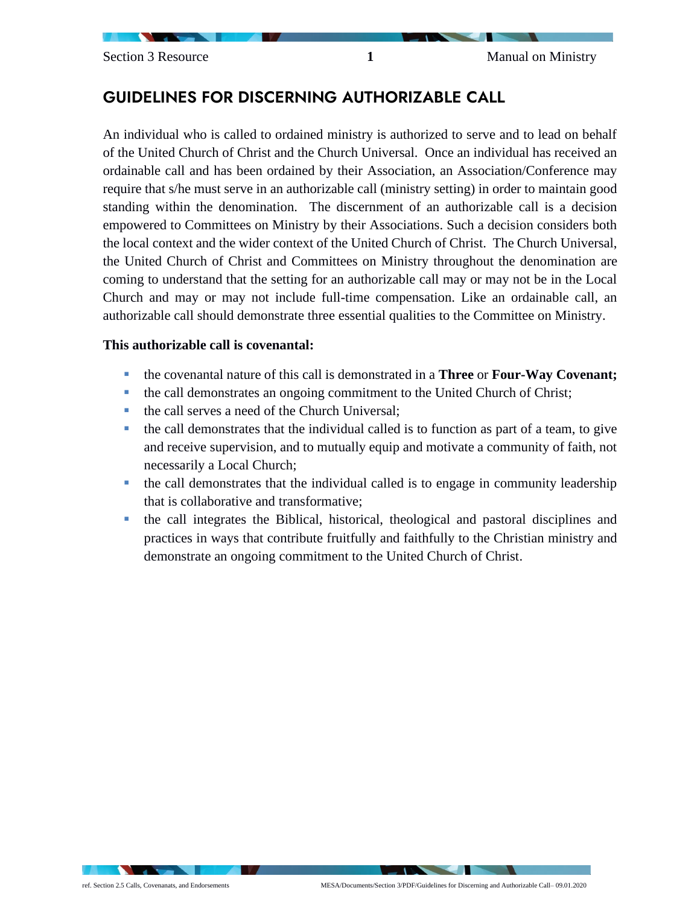# GUIDELINES FOR DISCERNING AUTHORIZABLE CALL

An individual who is called to ordained ministry is authorized to serve and to lead on behalf of the United Church of Christ and the Church Universal. Once an individual has received an ordainable call and has been ordained by their Association, an Association/Conference may require that s/he must serve in an authorizable call (ministry setting) in order to maintain good standing within the denomination. The discernment of an authorizable call is a decision empowered to Committees on Ministry by their Associations. Such a decision considers both the local context and the wider context of the United Church of Christ. The Church Universal, the United Church of Christ and Committees on Ministry throughout the denomination are coming to understand that the setting for an authorizable call may or may not be in the Local Church and may or may not include full-time compensation. Like an ordainable call, an authorizable call should demonstrate three essential qualities to the Committee on Ministry.

### **This authorizable call is covenantal:**

- the covenantal nature of this call is demonstrated in a **Three** or **Four-Way Covenant;**
- the call demonstrates an ongoing commitment to the United Church of Christ;
- the call serves a need of the Church Universal:
- the call demonstrates that the individual called is to function as part of a team, to give and receive supervision, and to mutually equip and motivate a community of faith, not necessarily a Local Church;
- the call demonstrates that the individual called is to engage in community leadership that is collaborative and transformative;
- the call integrates the Biblical, historical, theological and pastoral disciplines and practices in ways that contribute fruitfully and faithfully to the Christian ministry and demonstrate an ongoing commitment to the United Church of Christ.

 $\cdot$   $\cdot$